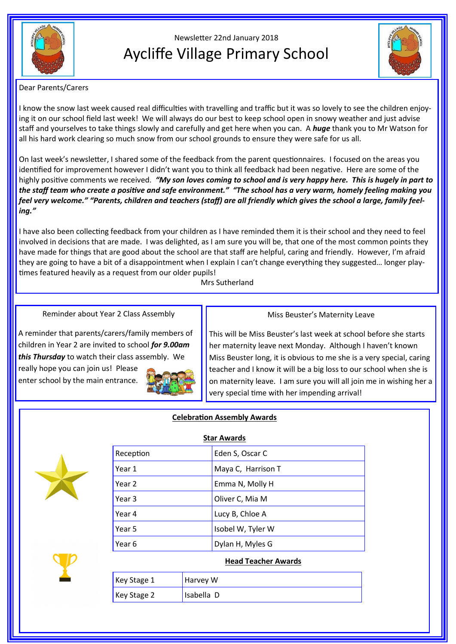

# Newsletter 22nd January 2018 Aycliffe Village Primary School



#### Dear Parents/Carers

I know the snow last week caused real difficulties with travelling and traffic but it was so lovely to see the children enjoying it on our school field last week! We will always do our best to keep school open in snowy weather and just advise staff and yourselves to take things slowly and carefully and get here when you can. A *huge* thank you to Mr Watson for all his hard work clearing so much snow from our school grounds to ensure they were safe for us all.

On last week's newsletter, I shared some of the feedback from the parent questionnaires. I focused on the areas you identified for improvement however I didn't want you to think all feedback had been negative. Here are some of the highly positive comments we received. *"My son loves coming to school and is very happy here. This is hugely in part to the staff team who create a positive and safe environment." "The school has a very warm, homely feeling making you feel very welcome." "Parents, children and teachers (staff) are all friendly which gives the school a large, family feeling."*

I have also been collecting feedback from your children as I have reminded them it is their school and they need to feel involved in decisions that are made. I was delighted, as I am sure you will be, that one of the most common points they have made for things that are good about the school are that staff are helpful, caring and friendly. However, I'm afraid they are going to have a bit of a disappointment when I explain I can't change everything they suggested… longer playtimes featured heavily as a request from our older pupils!

Mrs Sutherland

Reminder about Year 2 Class Assembly

#### Miss Beuster's Maternity Leave

A reminder that parents/carers/family members of children in Year 2 are invited to school *for 9.00am this Thursday* to watch their class assembly. We really hope you can join us! Please enter school by the main entrance.



This will be Miss Beuster's last week at school before she starts her maternity leave next Monday. Although I haven't known Miss Beuster long, it is obvious to me she is a very special, caring teacher and I know it will be a big loss to our school when she is on maternity leave. I am sure you will all join me in wishing her a very special time with her impending arrival!

## **Celebration Assembly Awards**

**Star Awards**



| Jiai Awarus |                    |
|-------------|--------------------|
| Reception   | Eden S, Oscar C    |
| Year 1      | Maya C, Harrison T |
| Year 2      | Emma N, Molly H    |
| Year 3      | Oliver C, Mia M    |
| Year 4      | Lucy B, Chloe A    |
| Year 5      | Isobel W, Tyler W  |
| Year 6      | Dylan H, Myles G   |

### **Head Teacher Awards**

| Key Stage 1          | Harvey W   |
|----------------------|------------|
| $\kappa$ Key Stage 2 | Isabella D |